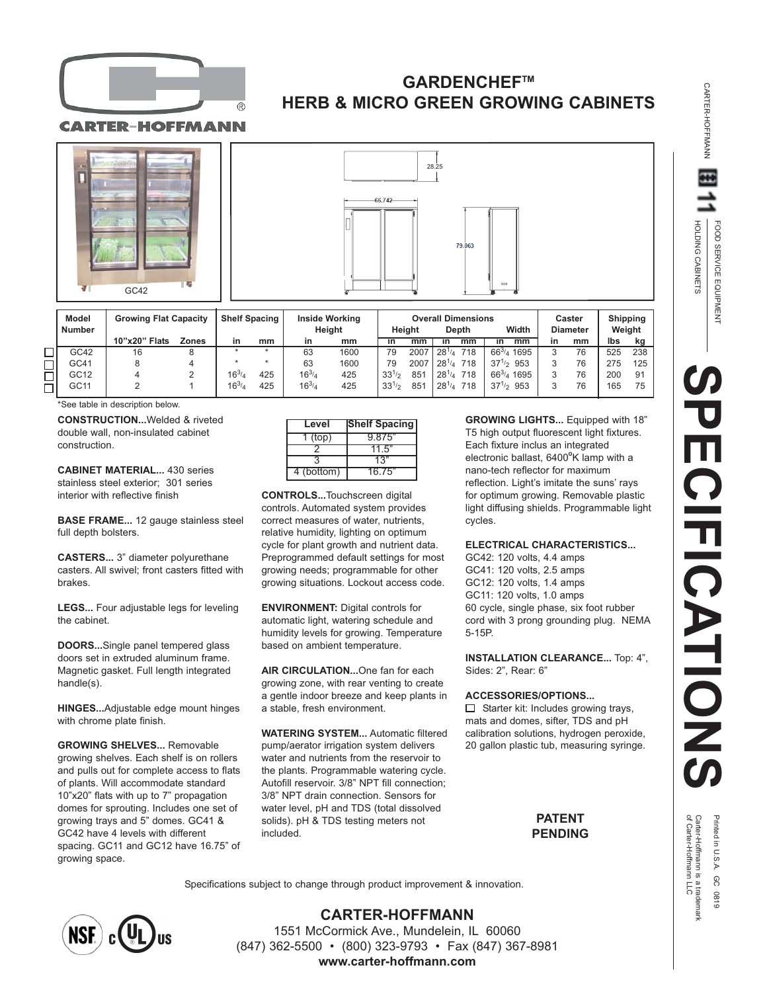

# **GARDENCHEFTM HERB & MICRO GREEN GROWING CABINETS**

CARTER-HOFFMANN





| Model<br><b>Number</b> | <b>Growing Flat Capacity</b> |       | <b>Shelf Spacing</b> |     | <b>Inside Working</b><br>Heiaht |      | <b>Overall Dimensions</b><br>Heiaht<br>Depth |      |                   | Width            | Caster<br><b>Diameter</b> |    | <b>Shipping</b><br>Weight |     |
|------------------------|------------------------------|-------|----------------------|-----|---------------------------------|------|----------------------------------------------|------|-------------------|------------------|---------------------------|----|---------------------------|-----|
|                        | 10"x20" Flats                | Zones |                      | mm  | in                              | mm   | īn                                           | mm   | mm<br>īn          | mm<br>īn         | in                        | mm | lbs                       | kg  |
| GC42                   | 16                           |       |                      |     | 63                              | 1600 | 79                                           | 2007 | 718<br>$28^{1/4}$ | $66^{3}/_4$ 1695 |                           | 76 | 525                       | 238 |
| GC41                   |                              |       |                      |     | 63                              | 1600 | 79                                           | 2007 | $28^{1/4}$<br>718 | $37^{1/2}$ 953   |                           | 76 | 275                       | 125 |
| GC12                   |                              |       | $16^{3}/_4$          | 425 | $16^{3/4}$                      | 425  | $33^{1/2}$                                   | 851  | $28^{1/4}$<br>718 | $66^{3}/_4$ 1695 |                           | 76 | 200                       | -91 |
| GC11                   |                              |       | $16^{3/4}$           | 425 | $16^{3/4}$                      | 425  | $33^{1/2}$                                   | 851  | $28^{1/4}$<br>718 | $37^{1/2}$ 953   |                           | 76 | 165                       | 75  |
|                        |                              |       |                      |     |                                 |      |                                              |      |                   |                  |                           |    |                           |     |

\*See table in description below.

**CONSTRUCTION...**Welded & riveted double wall, non-insulated cabinet construction.

**CABINET MATERIAL...** 430 series stainless steel exterior; 301 series interior with reflective finish

**BASE FRAME...** 12 gauge stainless steel full depth bolsters.

**CASTERS...** 3" diameter polyurethane casters. All swivel; front casters fitted with brakes.

**LEGS...** Four adjustable legs for leveling the cabinet.

**DOORS...**Single panel tempered glass doors set in extruded aluminum frame. Magnetic gasket. Full length integrated handle(s).

**HINGES...**Adjustable edge mount hinges with chrome plate finish.

**GROWING SHELVES...** Removable growing shelves. Each shelf is on rollers and pulls out for complete access to flats of plants. Will accommodate standard 10"x20" flats with up to 7" propagation domes for sprouting. Includes one set of growing trays and 5" domes. GC41 & GC42 have 4 levels with different spacing. GC11 and GC12 have 16.75" of growing space.

| Level      | <b>Shelf Spacing</b> |
|------------|----------------------|
| $1$ (top)  | 9.875"               |
|            | 11.5"                |
|            | 13"                  |
| 4 (bottom) | 16.75"               |

**CONTROLS...**Touchscreen digital controls. Automated system provides correct measures of water, nutrients, relative humidity, lighting on optimum cycle for plant growth and nutrient data. Preprogrammed default settings for most growing needs; programmable for other growing situations. Lockout access code.

**ENVIRONMENT:** Digital controls for automatic light, watering schedule and humidity levels for growing. Temperature based on ambient temperature.

**AIR CIRCULATION...**One fan for each growing zone, with rear venting to create a gentle indoor breeze and keep plants in a stable, fresh environment.

**WATERING SYSTEM...** Automatic filtered pump/aerator irrigation system delivers water and nutrients from the reservoir to the plants. Programmable watering cycle. Autofill reservoir. 3/8" NPT fill connection; 3/8" NPT drain connection. Sensors for water level, pH and TDS (total dissolved solids). pH & TDS testing meters not included.

**GROWING LIGHTS...** Equipped with 18" T5 high output fluorescent light fixtures. Each fixture inclus an integrated electronic ballast, 6400<sup>o</sup>K lamp with a nano-tech reflector for maximum reflection. Light's imitate the suns' rays for optimum growing. Removable plastic light diffusing shields. Programmable light cycles.

#### **ELECTRICAL CHARACTERISTICS...**

GC42: 120 volts, 4.4 amps GC41: 120 volts, 2.5 amps GC12: 120 volts, 1.4 amps GC11: 120 volts, 1.0 amps 60 cycle, single phase, six foot rubber cord with 3 prong grounding plug. NEMA 5-15P.

**INSTALLATION CLEARANCE...** Top: 4", Sides: 2", Rear: 6"

#### **ACCESSORIES/OPTIONS...**

 $\Box$  Starter kit: Includes growing trays, mats and domes, sifter, TDS and pH calibration solutions, hydrogen peroxide, 20 gallon plastic tub, measuring syringe.

### **PATENT PENDING**

Specifications subject to change through product improvement & innovation.



**CARTER-HOFFMANN** 1551 McCormick Ave., Mundelein, IL 60060 (847) 362-5500 • (800) 323-9793 • Fax (847) 367-8981 **www.carter-hoffmann.com**

CARTER-HOFFMANN

œ

CARTER-HOFFMANN

Printed in U.S.A. GC 0819<br>Carter-Hoffmann is a trademark<br>of Carter-Hoffmann LLC